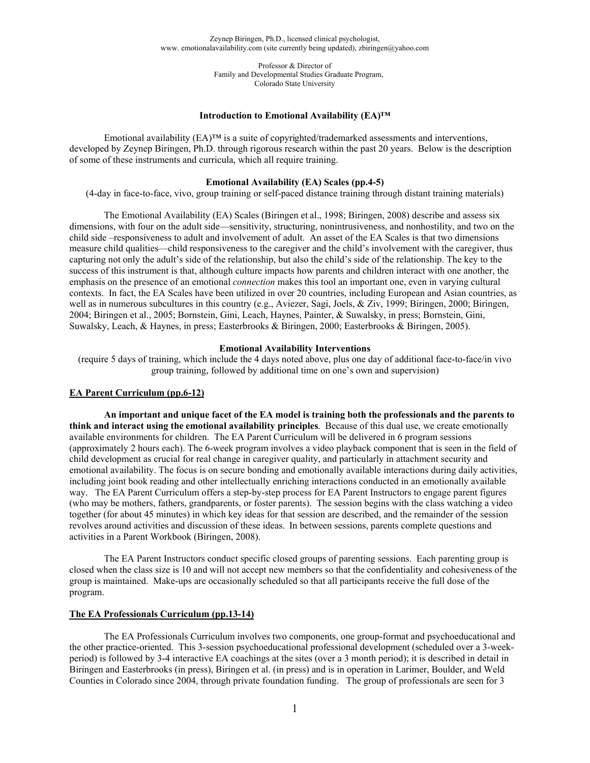> Professor & Director of Family and Developmental Studies Graduate Program, Colorado State University

#### **Introduction to Emotional Availability (EA)™**

Emotional availability (EA)™ is a suite of copyrighted/trademarked assessments and interventions, developed by Zeynep Biringen, Ph.D. through rigorous research within the past 20 years. Below is the description of some of these instruments and curricula, which all require training.

### **Emotional Availability (EA) Scales (pp.4-5)**

(4-day in face-to-face, vivo, group training or self-paced distance training through distant training materials)

The Emotional Availability (EA) Scales (Biringen et al., 1998; Biringen, 2008) describe and assess six dimensions, with four on the adult side—sensitivity, structuring, nonintrusiveness, and nonhostility, and two on the child side –responsiveness to adult and involvement of adult. An asset of the EA Scales is that two dimensions measure child qualities—child responsiveness to the caregiver and the child's involvement with the caregiver, thus capturing not only the adult's side of the relationship, but also the child's side of the relationship. The key to the success of this instrument is that, although culture impacts how parents and children interact with one another, the emphasis on the presence of an emotional *connection* makes this tool an important one, even in varying cultural contexts. In fact, the EA Scales have been utilized in over 20 countries, including European and Asian countries, as well as in numerous subcultures in this country (e.g., Aviezer, Sagi, Joels, & Ziv, 1999; Biringen, 2000; Biringen, 2004; Biringen et al., 2005; Bornstein, Gini, Leach, Haynes, Painter, & Suwalsky, in press; Bornstein, Gini, Suwalsky, Leach, & Haynes, in press; Easterbrooks & Biringen, 2000; Easterbrooks & Biringen, 2005).

#### **Emotional Availability Interventions**

(require 5 days of training, which include the 4 days noted above, plus one day of additional face-to-face/in vivo group training, followed by additional time on one's own and supervision)

### **EA Parent Curriculum (pp.6-12)**

**An important and unique facet of the EA model is training both the professionals and the parents to think and interact using the emotional availability principles**. Because of this dual use, we create emotionally available environments for children. The EA Parent Curriculum will be delivered in 6 program sessions (approximately 2 hours each). The 6-week program involves a video playback component that is seen in the field of child development as crucial for real change in caregiver quality, and particularly in attachment security and emotional availability. The focus is on secure bonding and emotionally available interactions during daily activities, including joint book reading and other intellectually enriching interactions conducted in an emotionally available way. The EA Parent Curriculum offers a step-by-step process for EA Parent Instructors to engage parent figures (who may be mothers, fathers, grandparents, or foster parents). The session begins with the class watching a video together (for about 45 minutes) in which key ideas for that session are described, and the remainder of the session revolves around activities and discussion of these ideas. In between sessions, parents complete questions and activities in a Parent Workbook (Biringen, 2008).

The EA Parent Instructors conduct specific closed groups of parenting sessions. Each parenting group is closed when the class size is 10 and will not accept new members so that the confidentiality and cohesiveness of the group is maintained. Make-ups are occasionally scheduled so that all participants receive the full dose of the program.

### **The EA Professionals Curriculum (pp.13-14)**

The EA Professionals Curriculum involves two components, one group-format and psychoeducational and the other practice-oriented. This 3-session psychoeducational professional development (scheduled over a 3-weekperiod) is followed by 3-4 interactive EA coachings at the sites (over a 3 month period); it is described in detail in Biringen and Easterbrooks (in press), Biringen et al. (in press) and is in operation in Larimer, Boulder, and Weld Counties in Colorado since 2004, through private foundation funding. The group of professionals are seen for 3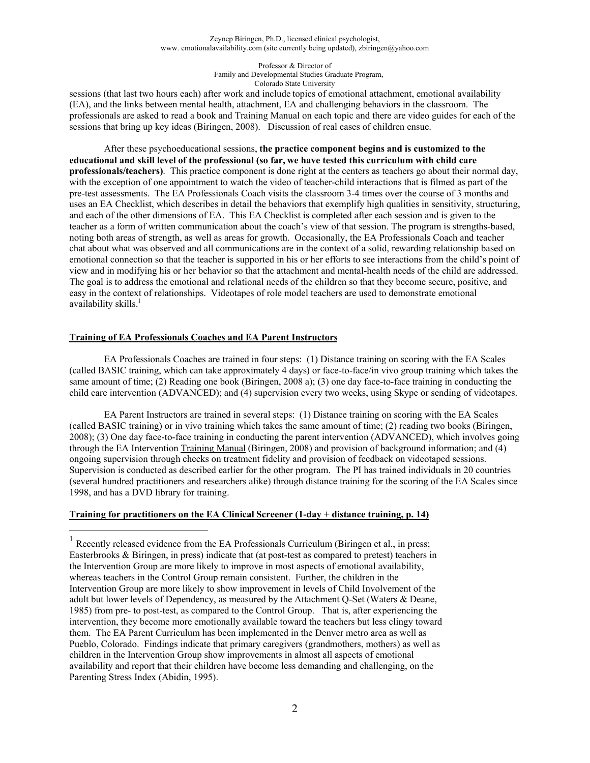#### Professor & Director of Family and Developmental Studies Graduate Program, Colorado State University

sessions (that last two hours each) after work and include topics of emotional attachment, emotional availability (EA), and the links between mental health, attachment, EA and challenging behaviors in the classroom. The professionals are asked to read a book and Training Manual on each topic and there are video guides for each of the sessions that bring up key ideas (Biringen, 2008). Discussion of real cases of children ensue.

After these psychoeducational sessions, **the practice component begins and is customized to the educational and skill level of the professional (so far, we have tested this curriculum with child care professionals/teachers)**. This practice component is done right at the centers as teachers go about their normal day, with the exception of one appointment to watch the video of teacher-child interactions that is filmed as part of the pre-test assessments. The EA Professionals Coach visits the classroom 3-4 times over the course of 3 months and uses an EA Checklist, which describes in detail the behaviors that exemplify high qualities in sensitivity, structuring, and each of the other dimensions of EA. This EA Checklist is completed after each session and is given to the teacher as a form of written communication about the coach's view of that session. The program is strengths-based, noting both areas of strength, as well as areas for growth. Occasionally, the EA Professionals Coach and teacher chat about what was observed and all communications are in the context of a solid, rewarding relationship based on emotional connection so that the teacher is supported in his or her efforts to see interactions from the child's point of view and in modifying his or her behavior so that the attachment and mental-health needs of the child are addressed. The goal is to address the emotional and relational needs of the children so that they become secure, positive, and easy in the context of relationships. Videotapes of role model teachers are used to demonstrate emotional availability skills.<sup>1</sup>

### **Training of EA Professionals Coaches and EA Parent Instructors**

 $\overline{a}$ 

EA Professionals Coaches are trained in four steps: (1) Distance training on scoring with the EA Scales (called BASIC training, which can take approximately 4 days) or face-to-face/in vivo group training which takes the same amount of time; (2) Reading one book (Biringen, 2008 a); (3) one day face-to-face training in conducting the child care intervention (ADVANCED); and (4) supervision every two weeks, using Skype or sending of videotapes.

EA Parent Instructors are trained in several steps: (1) Distance training on scoring with the EA Scales (called BASIC training) or in vivo training which takes the same amount of time; (2) reading two books (Biringen, 2008); (3) One day face-to-face training in conducting the parent intervention (ADVANCED), which involves going through the EA Intervention Training Manual (Biringen, 2008) and provision of background information; and (4) ongoing supervision through checks on treatment fidelity and provision of feedback on videotaped sessions. Supervision is conducted as described earlier for the other program. The PI has trained individuals in 20 countries (several hundred practitioners and researchers alike) through distance training for the scoring of the EA Scales since 1998, and has a DVD library for training.

### **Training for practitioners on the EA Clinical Screener (1-day + distance training, p. 14)**

<sup>&</sup>lt;sup>1</sup> Recently released evidence from the EA Professionals Curriculum (Biringen et al., in press; Easterbrooks & Biringen, in press) indicate that (at post-test as compared to pretest) teachers in the Intervention Group are more likely to improve in most aspects of emotional availability, whereas teachers in the Control Group remain consistent. Further, the children in the Intervention Group are more likely to show improvement in levels of Child Involvement of the adult but lower levels of Dependency, as measured by the Attachment Q-Set (Waters & Deane, 1985) from pre- to post-test, as compared to the Control Group. That is, after experiencing the intervention, they become more emotionally available toward the teachers but less clingy toward them. The EA Parent Curriculum has been implemented in the Denver metro area as well as Pueblo, Colorado. Findings indicate that primary caregivers (grandmothers, mothers) as well as children in the Intervention Group show improvements in almost all aspects of emotional availability and report that their children have become less demanding and challenging, on the Parenting Stress Index (Abidin, 1995).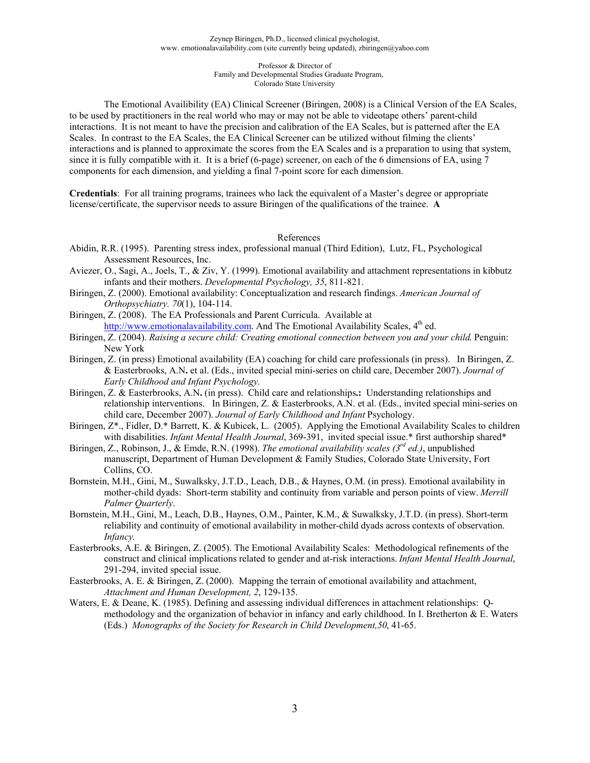The Emotional Availibility (EA) Clinical Screener (Biringen, 2008) is a Clinical Version of the EA Scales, to be used by practitioners in the real world who may or may not be able to videotape others' parent-child interactions. It is not meant to have the precision and calibration of the EA Scales, but is patterned after the EA Scales. In contrast to the EA Scales, the EA Clinical Screener can be utilized without filming the clients' interactions and is planned to approximate the scores from the EA Scales and is a preparation to using that system, since it is fully compatible with it. It is a brief (6-page) screener, on each of the 6 dimensions of EA, using 7 components for each dimension, and yielding a final 7-point score for each dimension.

**Credentials**: For all training programs, trainees who lack the equivalent of a Master's degree or appropriate license/certificate, the supervisor needs to assure Biringen of the qualifications of the trainee. **A**

#### References

- Abidin, R.R. (1995). Parenting stress index, professional manual (Third Edition), Lutz, FL, Psychological Assessment Resources, Inc.
- Aviezer, O., Sagi, A., Joels, T., & Ziv, Y. (1999). Emotional availability and attachment representations in kibbutz infants and their mothers. *Developmental Psychology, 35*, 811-821.
- Biringen, Z. (2000). Emotional availability: Conceptualization and research findings. *American Journal of Orthopsychiatry. 70*(1), 104-114.

Biringen, Z. (2008). The EA Professionals and Parent Curricula. Available at http://www.emotionalavailability.com. And The Emotional Availability Scales,  $4<sup>th</sup>$  ed.

- Biringen, Z. (2004). *Raising a secure child: Creating emotional connection between you and your child*. Penguin: New York
- Biringen, Z. (in press) Emotional availability (EA) coaching for child care professionals (in press).In Biringen, Z. & Easterbrooks, A.N**.** et al. (Eds., invited special mini-series on child care, December 2007). *Journal of Early Childhood and Infant Psychology.*
- Biringen, Z. & Easterbrooks, A.N**.** (in press).Child care and relationships**.:** Understanding relationships and relationship interventions. In Biringen, Z. & Easterbrooks, A.N. et al. (Eds., invited special mini-series on child care, December 2007). *Journal of Early Childhood and Infant* Psychology.
- Biringen, Z\*., Fidler, D.\* Barrett, K. & Kubicek, L. (2005). Applying the Emotional Availability Scales to children with disabilities. *Infant Mental Health Journal*, 369-391, invited special issue.\* first authorship shared\*
- Biringen, Z., Robinson, J., & Emde, R.N. (1998). *The emotional availability scales (3rd ed.)*, unpublished manuscript, Department of Human Development & Family Studies, Colorado State University, Fort Collins, CO.
- Bornstein, M.H., Gini, M., Suwalksky, J.T.D., Leach, D.B., & Haynes, O.M. (in press). Emotional availability in mother-child dyads: Short-term stability and continuity from variable and person points of view. *Merrill Palmer Quarterly*.
- Bornstein, M.H., Gini, M., Leach, D.B., Haynes, O.M., Painter, K.M., & Suwalksky, J.T.D. (in press). Short-term reliability and continuity of emotional availability in mother-child dyads across contexts of observation. *Infancy.*
- Easterbrooks, A.E. & Biringen, Z. (2005). The Emotional Availability Scales: Methodological refinements of the construct and clinical implications related to gender and at-risk interactions. *Infant Mental Health Journal*, 291-294, invited special issue.
- Easterbrooks, A. E. & Biringen, Z. (2000). Mapping the terrain of emotional availability and attachment, *Attachment and Human Development, 2*, 129-135.
- Waters, E. & Deane, K. (1985). Defining and assessing individual differences in attachment relationships: Qmethodology and the organization of behavior in infancy and early childhood. In I. Bretherton & E. Waters (Eds.) *Monographs of the Society for Research in Child Development,50*, 41-65.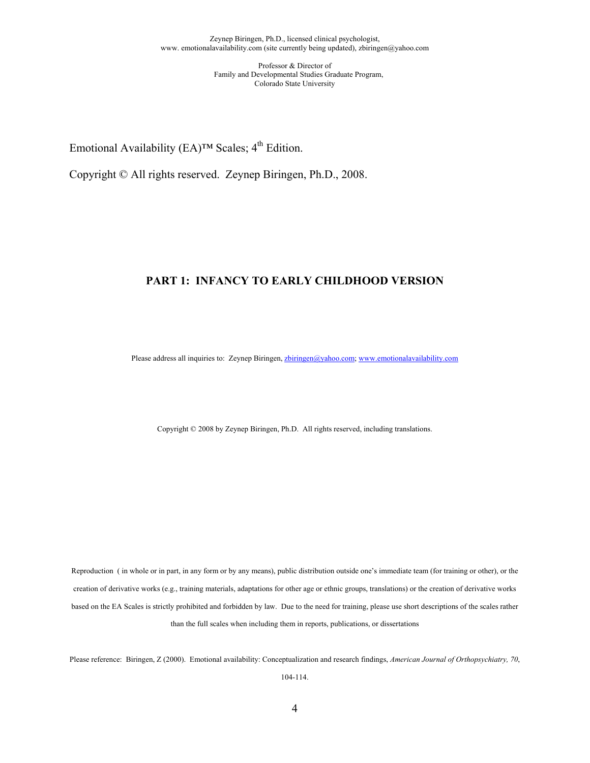Emotional Availability (EA)<sup>TM</sup> Scales;  $4<sup>th</sup>$  Edition.

Copyright © All rights reserved. Zeynep Biringen, Ph.D., 2008.

### **PART 1: INFANCY TO EARLY CHILDHOOD VERSION**

Please address all inquiries to: Zeynep Biringen, zbiringen@yahoo.com; www.emotionalavailability.com

Copyright © 2008 by Zeynep Biringen, Ph.D. All rights reserved, including translations.

Reproduction ( in whole or in part, in any form or by any means), public distribution outside one's immediate team (for training or other), or the creation of derivative works (e.g., training materials, adaptations for other age or ethnic groups, translations) or the creation of derivative works based on the EA Scales is strictly prohibited and forbidden by law. Due to the need for training, please use short descriptions of the scales rather than the full scales when including them in reports, publications, or dissertations

Please reference: Biringen, Z (2000). Emotional availability: Conceptualization and research findings, *American Journal of Orthopsychiatry, 70*,

104-114.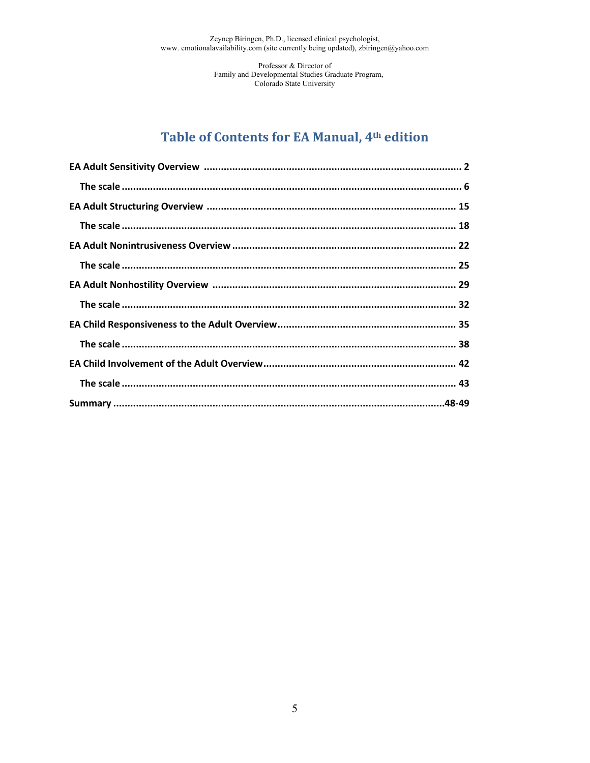Professor & Director of Family and Developmental Studies Graduate Program,<br>Colorado State University

# Table of Contents for EA Manual, 4th edition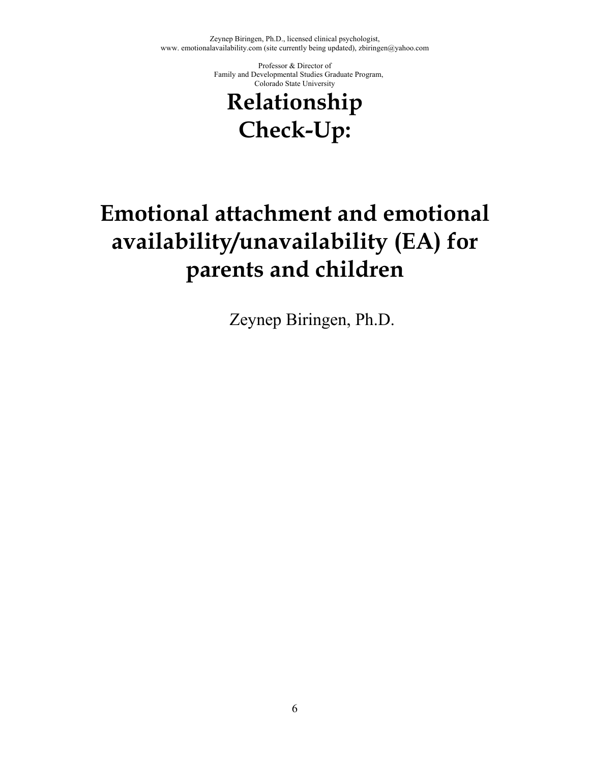> Professor & Director of Family and Developmental Studies Graduate Program, Colorado State University

# **Relationship Check-Up:**

# **Emotional attachment and emotional availability/unavailability (EA) for parents and children**

Zeynep Biringen, Ph.D.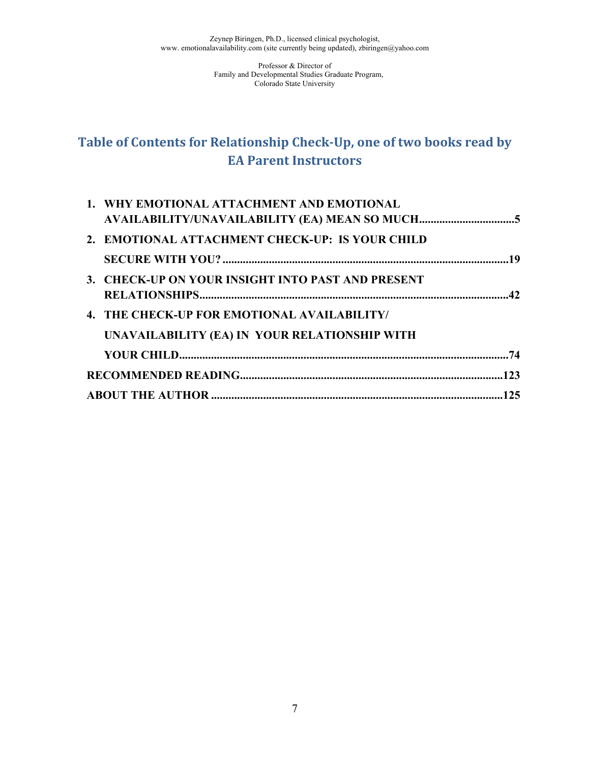# **Table of Contents for Relationship Check"Up, one of two books read by EA Parent Instructors**

| 1. WHY EMOTIONAL ATTACHMENT AND EMOTIONAL         |  |
|---------------------------------------------------|--|
|                                                   |  |
| 2. EMOTIONAL ATTACHMENT CHECK-UP: IS YOUR CHILD   |  |
|                                                   |  |
| 3. CHECK-UP ON YOUR INSIGHT INTO PAST AND PRESENT |  |
|                                                   |  |
| 4. THE CHECK-UP FOR EMOTIONAL AVAILABILITY/       |  |
| UNAVAILABILITY (EA) IN YOUR RELATIONSHIP WITH     |  |
|                                                   |  |
|                                                   |  |
|                                                   |  |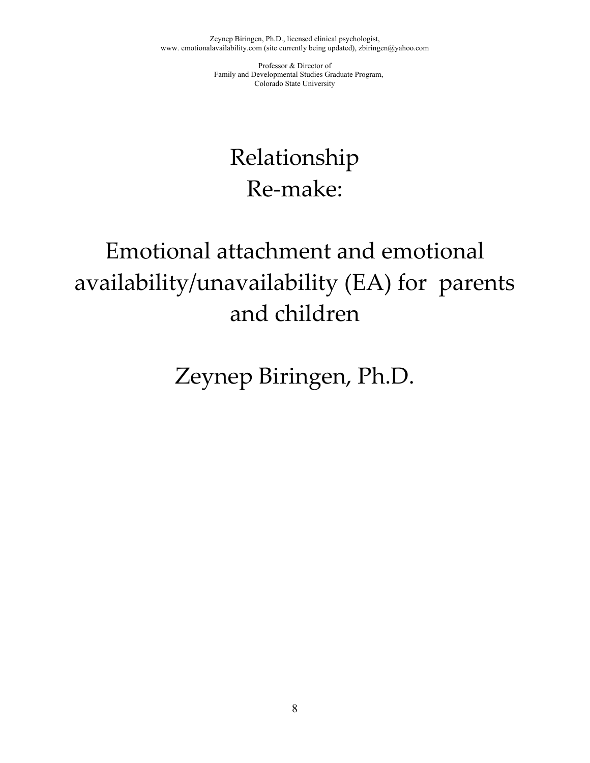> Professor & Director of Family and Developmental Studies Graduate Program, Colorado State University

# Relationship Re-make:

# Emotional attachment and emotional availability/unavailability (EA) for parents and children

Zeynep Biringen, Ph.D.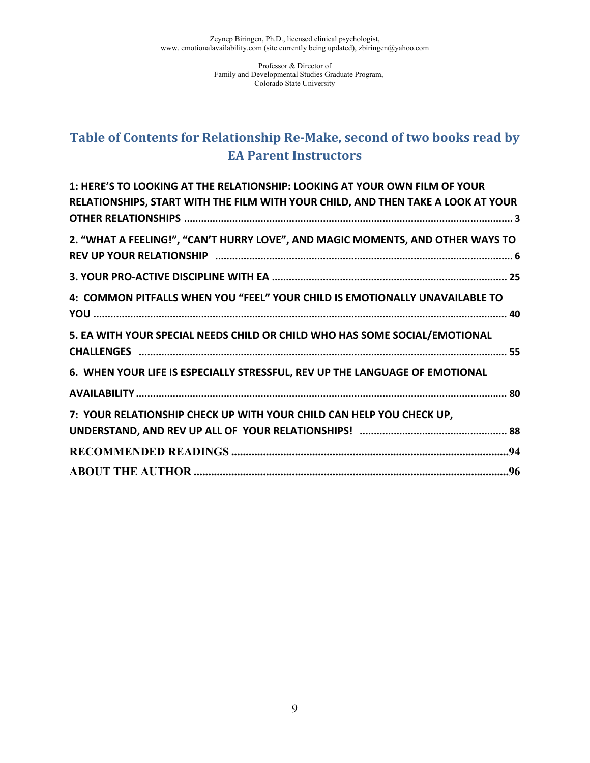# **Table of Contents for Relationship Re"Make, second of two books read by EA Parent Instructors**

| 1: HERE'S TO LOOKING AT THE RELATIONSHIP: LOOKING AT YOUR OWN FILM OF YOUR       |
|----------------------------------------------------------------------------------|
| RELATIONSHIPS, START WITH THE FILM WITH YOUR CHILD, AND THEN TAKE A LOOK AT YOUR |
|                                                                                  |
| 2. "WHAT A FEELING!", "CAN'T HURRY LOVE", AND MAGIC MOMENTS, AND OTHER WAYS TO   |
|                                                                                  |
|                                                                                  |
| 4: COMMON PITFALLS WHEN YOU "FEEL" YOUR CHILD IS EMOTIONALLY UNAVAILABLE TO      |
|                                                                                  |
| 5. EA WITH YOUR SPECIAL NEEDS CHILD OR CHILD WHO HAS SOME SOCIAL/EMOTIONAL       |
|                                                                                  |
| 6. WHEN YOUR LIFE IS ESPECIALLY STRESSFUL, REV UP THE LANGUAGE OF EMOTIONAL      |
|                                                                                  |
| 7: YOUR RELATIONSHIP CHECK UP WITH YOUR CHILD CAN HELP YOU CHECK UP,             |
|                                                                                  |
|                                                                                  |
|                                                                                  |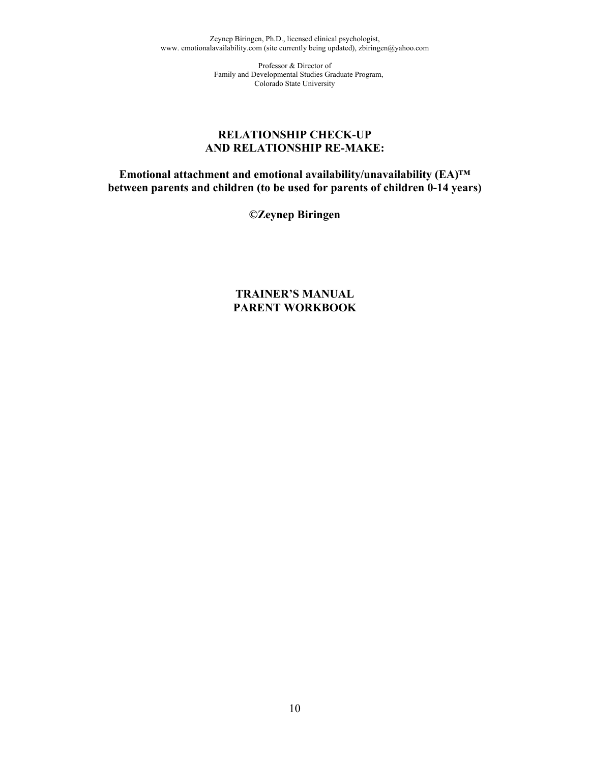> Professor & Director of Family and Developmental Studies Graduate Program, Colorado State University

### **RELATIONSHIP CHECK-UP AND RELATIONSHIP RE-MAKE:**

**Emotional attachment and emotional availability/unavailability (EA)™ between parents and children (to be used for parents of children 0-14 years)** 

**©Zeynep Biringen** 

**TRAINER'S MANUAL PARENT WORKBOOK**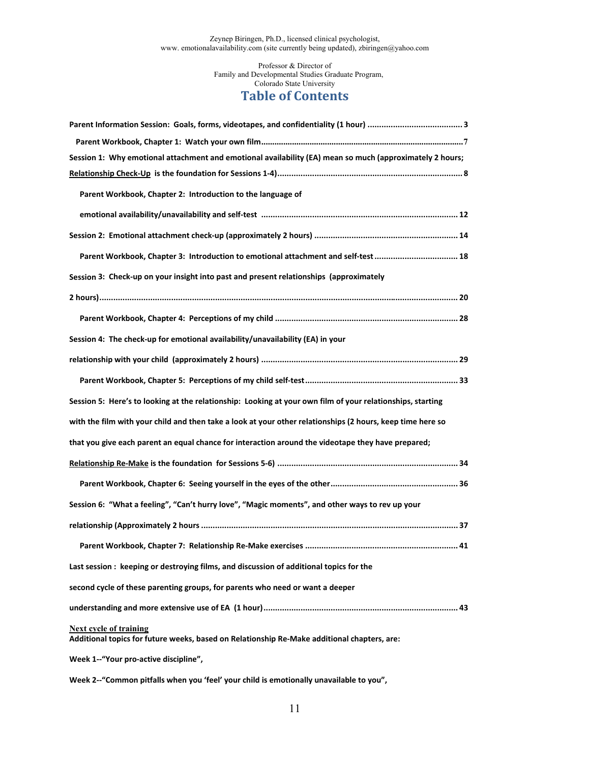## **Table of Contents**

| Session 1: Why emotional attachment and emotional availability (EA) mean so much (approximately 2 hours;                     |
|------------------------------------------------------------------------------------------------------------------------------|
|                                                                                                                              |
| Parent Workbook, Chapter 2: Introduction to the language of                                                                  |
|                                                                                                                              |
|                                                                                                                              |
| Parent Workbook, Chapter 3: Introduction to emotional attachment and self-test  18                                           |
| Session 3: Check-up on your insight into past and present relationships (approximately                                       |
|                                                                                                                              |
|                                                                                                                              |
| Session 4: The check-up for emotional availability/unavailability (EA) in your                                               |
|                                                                                                                              |
|                                                                                                                              |
|                                                                                                                              |
| Session 5: Here's to looking at the relationship: Looking at your own film of your relationships, starting                   |
| with the film with your child and then take a look at your other relationships (2 hours, keep time here so                   |
| that you give each parent an equal chance for interaction around the videotape they have prepared;                           |
|                                                                                                                              |
|                                                                                                                              |
| Session 6: "What a feeling", "Can't hurry love", "Magic moments", and other ways to rev up your                              |
|                                                                                                                              |
|                                                                                                                              |
| Last session: keeping or destroying films, and discussion of additional topics for the                                       |
| second cycle of these parenting groups, for parents who need or want a deeper                                                |
|                                                                                                                              |
| <b>Next cycle of training</b><br>Additional topics for future weeks, based on Relationship Re-Make additional chapters, are: |

Week 2--"Common pitfalls when you 'feel' your child is emotionally unavailable to you",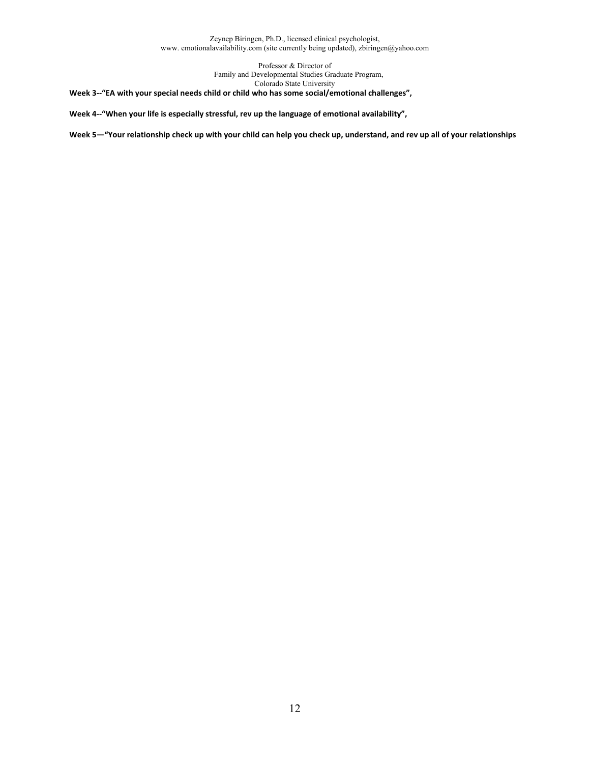> Professor & Director of Family and Developmental Studies Graduate Program, Colorado State University

**Week 3--**"EA with your special needs child or child who has some social/emotional challenges",

**Week 4"""When your life is especially stressful, rev up the language of emotional availability",!!**

Week 5-"Your relationship check up with your child can help you check up, understand, and rev up all of your relationships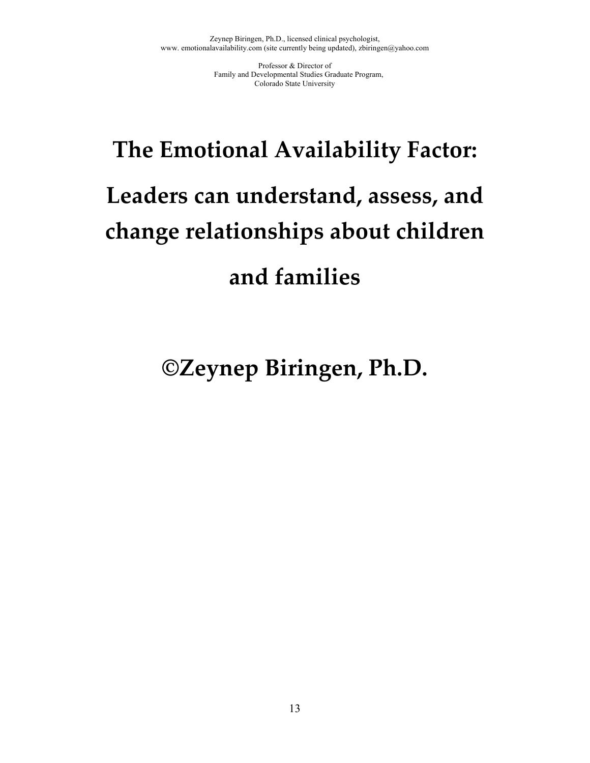# **The Emotional Availability Factor: Leaders can understand, assess, and change relationships about children!! and families**

# **©Zeynep Biringen, Ph.D.**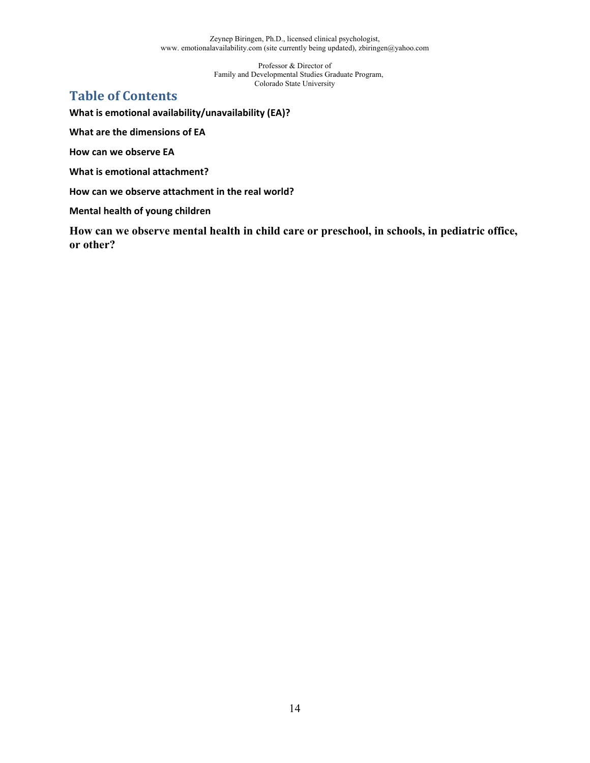> Professor & Director of Family and Developmental Studies Graduate Program, Colorado State University

# **Table of Contents**

**What is emotional availability/unavailability (EA)?**

**What are the dimensions of EA**

**How can we observe EA**

**What is emotional attachment?**

**How can we observe attachment in the real world?**

**Mental health of young children**

**How can we observe mental health in child care or preschool, in schools, in pediatric office, or other?**